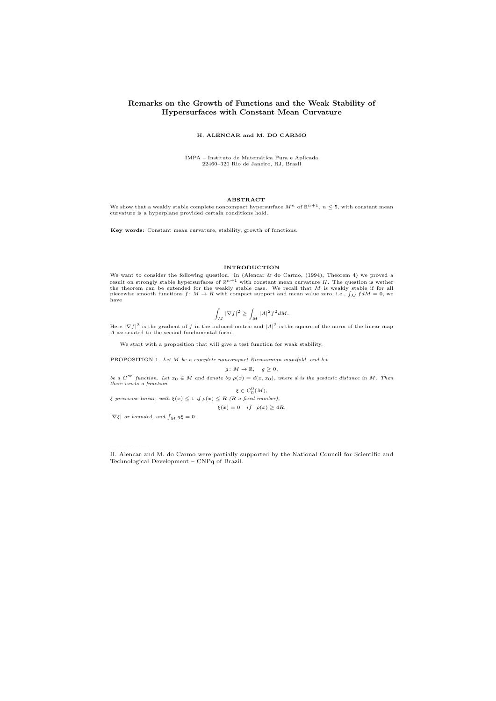# Remarks on the Growth of Functions and the Weak Stability of Hypersurfaces with Constant Mean Curvature

## H. ALENCAR and M. DO CARMO

IMPA – Instituto de Matem´atica Pura e Aplicada 22460–320 Rio de Janeiro, RJ, Brasil

# ABSTRACT

We show that a weakly stable complete noncompact hypersurface  $M^n$  of  $\mathbb{R}^{n+1}$ ,  $n \leq 5$ , with constant mean curvature is a hyperplane provided certain conditions hold.

Key words: Constant mean curvature, stability, growth of functions.

#### INTRODUCTION

We want to consider the following question. In (Alencar & do Carmo, (1994), Theorem 4) we proved a result on strongly stable hypersurfaces of  $\mathbb{R}^{n+1}$  with constant mean curvature H. The question is wether the theore piecewise smooth functions  $f: M \to R$  with compact support and mean value zero, i.e.,  $\int_M f dM = 0$ , we have

$$
\int_M |\nabla f|^2 \ge \int_M |A|^2 f^2 dM.
$$

Here  $|\nabla f|^2$  is the gradient of f in the induced metric and  $|A|^2$  is the square of the norm of the linear map A associated to the second fundamental form.

We start with a proposition that will give a test function for weak stability.

PROPOSITION 1. Let M be a complete noncompact Riemannian manifold, and let

 $g: M \to \mathbb{R}, \quad g \geq 0,$ 

be a  $C^{\infty}$  function. Let  $x_0 \in M$  and denote by  $\rho(x) = d(x, x_0)$ , where d is the geodesic distance in M. Then<br>there exists a function

 $\xi \in C_0^0(M)$ , ξ piecewise linear, with  $\xi(x) \leq 1$  if  $\rho(x) \leq R$  (R a fixed number),

 $\xi(x) = 0$  if  $\rho(x) \ge 4R$ ,

 $\label{eq:1} |\nabla \xi| \enspace or \enspace bounded, \enspace and \enspace \int_M \, g \xi \,=\, 0.$ 

——————–

H. Alencar and M. do Carmo were partially supported by the National Council for Scientific and Technological Development – CNPq of Brazil.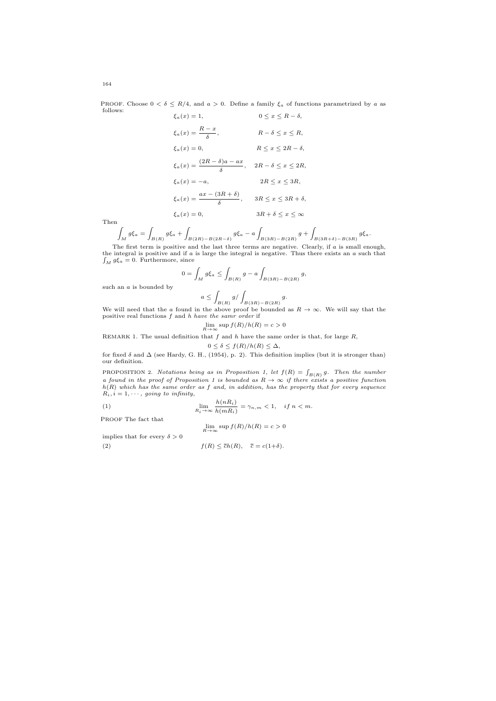PROOF. Choose  $0 < \delta \le R/4$ , and  $a > 0$ . Define a family  $\xi_a$  of functions parametrized by a as follows:  $\xi_a(x) = 1,$   $0 \le x \le R - \delta,$ 

$$
\xi_a(x) = \frac{R - x}{\delta}, \qquad R - \delta \le x \le R,
$$
  
\n
$$
\xi_a(x) = 0, \qquad R \le x \le 2R - \delta,
$$
  
\n
$$
\xi_a(x) = \frac{(2R - \delta)a - ax}{\delta}, \qquad 2R - \delta \le x \le 2R,
$$
  
\n
$$
\xi_a(x) = -a, \qquad 2R \le x \le 3R,
$$
  
\n
$$
\xi_a(x) = \frac{ax - (3R + \delta)}{\delta}, \qquad 3R \le x \le 3R + \delta,
$$
  
\n
$$
\xi_a(x) = 0, \qquad 3R + \delta \le x \le \infty
$$

Then

$$
\int_M g \xi_a = \int_{B(R)} g \xi_a + \int_{B(2R) - B(2R - \delta)} g \xi_a - a \int_{B(3R) - B(2R)} g + \int_{B(3R + \delta) - B(3R)} g \xi_a.
$$

The first term is positive and the last three terms are negative. Clearly, if a is small enough, the integral is positive and if a is large the integral is negative. Thus there exists an a such that  $\int_M g \xi_a = 0$ . Furtherm

$$
0 = \int_M g \xi_a \le \int_{B(R)} g - a \int_{B(3R) - B(2R)} g,
$$

such an a is bounded by

$$
a\leq \int_{B(R)} g/\int_{B(3R)-B(2R)} g.
$$

 $B(R)$   $J_{B(R)}$   $J_{B(3R)-B(2R)}$ <br>We will need that the a found in the above proof be bounded as  $R \to \infty$ . We will say that the positive real functions f and h have the samr order if

$$
\lim_{R \to \infty} \sup f(R)/h(R) = c > 0
$$

REMARK 1. The usual definition that  $f$  and  $h$  have the same order is that, for large  $R$ ,

 $0 \leq \delta \leq f(R)/h(R) \leq \Delta$ ,

for fixed  $\delta$  and  $\Delta$  (see Hardy, G. H., (1954), p. 2). This definition implies (but it is stronger than) our definition.

PROPOSITION 2. Notations being as in Proposition 1, let  $f(R) = \int_{B(R)} g$ . Then the number a found in the proof of Proposition 1 is bounded as  $R \to \infty$  if there exists a positive function  $h(R)$  which has the same order as f and, in addition, has the property that for every sequence  $R_i, i=1,\cdots,$   $going\ to\ infinity,$ 

(1) 
$$
\lim_{R_i \to \infty} \frac{h(nR_i)}{h(mR_i)} = \gamma_{n,m} < 1, \quad \text{if } n < m.
$$

PROOF The fact that

$$
\lim_{R \to \infty} \sup f(R)/h(R) = c > 0
$$

implies that for every  $\delta > 0$ 

(2) 
$$
f(R) \leq \overline{c}h(R), \quad \overline{c} = c(1+\delta).
$$

164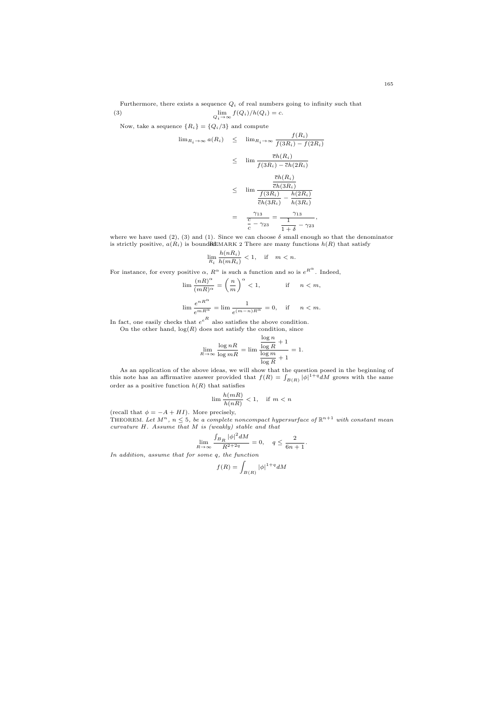Furthermore, there exists a sequence  $Q_i$  of real numbers going to infinity such that (3)  $\lim_{Q_i \to \infty} f(Q_i)/h(Q_i) = c.$ 

Now, take a sequence  ${R_i} = {Q_i}/{3}$  and compute

$$
\lim_{R_i \to \infty} a(R_i) \leq \lim_{R_i \to \infty} \frac{f(R_i)}{f(3R_i) - f(2R_i)}
$$
  
\n
$$
\leq \lim \frac{\overline{c}h(R_i)}{f(3R_i) - \overline{c}h(2R_i)}
$$
  
\n
$$
\leq \lim \frac{\frac{\overline{c}h(R_i)}{\overline{c}h(3R_i)}}{\frac{f(3R_i)}{\overline{c}h(3R_i)} - \frac{h(2R_i)}{h(3R_i)}}
$$
  
\n
$$
= \frac{\gamma_{13}}{\frac{c}{c} - \gamma_{23}} = \frac{\gamma_{13}}{\frac{1}{1 + \delta} - \gamma_{23}},
$$

where we have used (2), (3) and (1). Since we can choose  $\delta$  small enough so that the denominator is strictly positive,  $a(R_i)$  is bound REMARK 2 There are many functions  $h(R)$  that satisfy

$$
\lim_{R_i} \frac{h(nR_i)}{h(mR_i)} < 1, \quad \text{if} \quad m < n.
$$

For instance, for every positive  $\alpha$ ,  $R^{\alpha}$  is such a function and so is  $e^{R^{\alpha}}$ . Indeed,

$$
\begin{array}{ll} \lim \dfrac{(nR)^\alpha}{(mR)^\alpha}=\left(\dfrac{n}{m}\right)^\alpha<1, & \text{if} \quad n
$$

In fact, one easily checks that  $e^{eR}$  also satisfies the above condition. On the other hand,  $log(R)$  does not satisfy the condition, since

$$
\lim_{R \to \infty} \frac{\log nR}{\log mR} = \lim \frac{\frac{\log n}{\log R} + 1}{\frac{\log m}{\log R} + 1} = 1.
$$

As an application of the above ideas, we will show that the question posed in the beginning of this note has an affirmative answer provided that  $f(R) = \int_{B(R)} |\phi|^{1+q} dM$  grows with the same order as a positive function  $h(R)$  that satisfies

$$
\lim \frac{h(mR)}{h(nR)} < 1, \quad \text{if } m < n
$$

(recall that  $\phi = -A + HI$ ). More precisely,<br>THEOREM. Let  $M^n$ ,  $n \le 5$ , be a complete noncompact hypersurface of  $\mathbb{R}^{n+1}$  with constant mean<br>curvature H. Assume that M is (weakly) stable and that

$$
\lim_{R\to\infty}\frac{\int_{B_R}|\phi|^2dM}{R^{2+2q}}=0,\quad q\leq\frac{2}{6n+1}.
$$

In addition, assume that for some q, the function

$$
f(R) = \int_{B(R)} |\phi|^{1+q} dM
$$